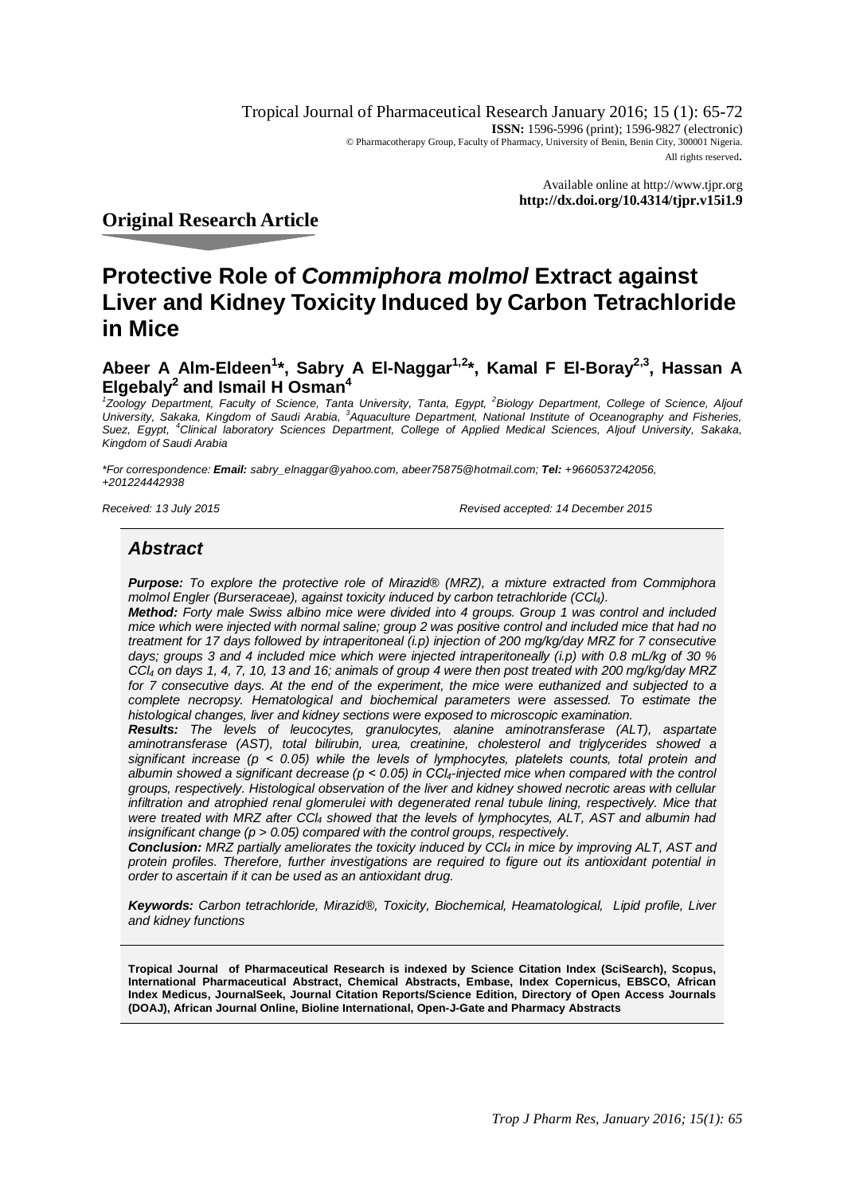Tropical Journal of Pharmaceutical Research January 2016; 15 (1): 65-72 **ISSN:** 1596-5996 (print); 1596-9827 (electronic) © Pharmacotherapy Group, Faculty of Pharmacy, University of Benin, Benin City, 300001 Nigeria. All rights reserved.

> Available online at <http://www.tjpr.org> **<http://dx.doi.org/10.4314/tjpr.v15i1.9>**

# **Original Research Article**

# **Protective Role of** *Commiphora molmol* **Extract against Liver and Kidney Toxicity Induced by Carbon Tetrachloride in Mice**

# **Abeer A Alm-Eldeen<sup>1</sup> \*, Sabry A El-Naggar1,2\*, Kamal F El-Boray2,3, Hassan A Elgebaly<sup>2</sup> and Ismail H Osman<sup>4</sup>**

<sup>1</sup> Zoology Department, Faculty of Science, Tanta University, Tanta, Egypt, <sup>2</sup> Biology Department, College of Science, Aljouf University, Sakaka, Kingdom of Saudi Arabia, <sup>3</sup>Aquaculture Department, National Institute of Oceanography and Fisheries, *Suez, Egypt, <sup>4</sup>Clinical laboratory Sciences Department, College of Applied Medical Sciences, Aljouf University, Sakaka, Kingdom of Saudi Arabia*

*\*For correspondence: Email: [sabry\\_elnaggar@yahoo.com,](mailto:sabry_elnaggar@yahoo.com,) [abeer75875@hotmail.com;](mailto:abeer75875@hotmail.com;) Tel: +9660537242056, +201224442938*

*Received: 13 July 2015 Revised accepted: 14 December 2015*

# *Abstract*

*Purpose: To explore the protective role of Mirazid® (MRZ), a mixture extracted from Commiphora molmol Engler (Burseraceae), against toxicity induced by carbon tetrachloride (CCl4).* 

*Method: Forty male Swiss albino mice were divided into 4 groups. Group 1 was control and included mice which were injected with normal saline; group 2 was positive control and included mice that had no treatment for 17 days followed by intraperitoneal (i.p) injection of 200 mg/kg/day MRZ for 7 consecutive days; groups 3 and 4 included mice which were injected intraperitoneally (i.p) with 0.8 mL/kg of 30 % CCl<sup>4</sup> on days 1, 4, 7, 10, 13 and 16; animals of group 4 were then post treated with 200 mg/kg/day MRZ*  for 7 consecutive days. At the end of the experiment, the mice were euthanized and subjected to a *complete necropsy. Hematological and biochemical parameters were assessed. To estimate the histological changes, liver and kidney sections were exposed to microscopic examination.* 

*Results: The levels of leucocytes, granulocytes, alanine aminotransferase (ALT), aspartate aminotransferase (AST), total bilirubin, urea, creatinine, cholesterol and triglycerides showed a significant increase (p ˂ 0.05) while the levels of lymphocytes, platelets counts, total protein and albumin showed a significant decrease (p ˂ 0.05) in CCl4-injected mice when compared with the control groups, respectively. Histological observation of the liver and kidney showed necrotic areas with cellular infiltration and atrophied renal glomerulei with degenerated renal tubule lining, respectively. Mice that were treated with MRZ after CCl<sup>4</sup> showed that the levels of lymphocytes, ALT, AST and albumin had insignificant change (p > 0.05) compared with the control groups, respectively.* 

*Conclusion: MRZ partially ameliorates the toxicity induced by CCl<sup>4</sup> in mice by improving ALT, AST and protein profiles. Therefore, further investigations are required to figure out its antioxidant potential in order to ascertain if it can be used as an antioxidant drug.*

*Keywords: Carbon tetrachloride, Mirazid®, Toxicity, Biochemical, Heamatological, Lipid profile, Liver and kidney functions*

**Tropical Journal of Pharmaceutical Research is indexed by Science Citation Index (SciSearch), Scopus, International Pharmaceutical Abstract, Chemical Abstracts, Embase, Index Copernicus, EBSCO, African Index Medicus, JournalSeek, Journal Citation Reports/Science Edition, Directory of Open Access Journals (DOAJ), African Journal Online, Bioline International, Open-J-Gate and Pharmacy Abstracts**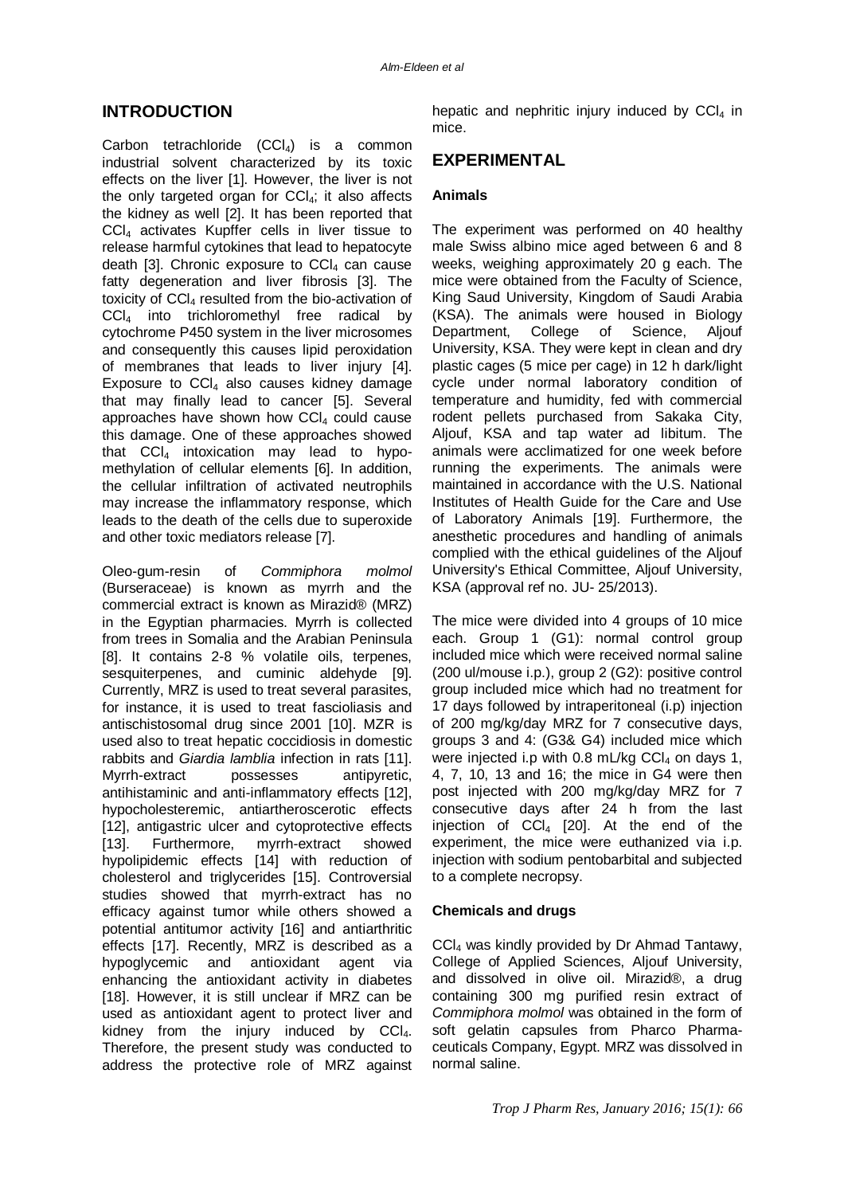## **INTRODUCTION**

Carbon tetrachloride  $(CCl<sub>4</sub>)$  is a common industrial solvent characterized by its toxic effects on the liver [1]. However, the liver is not the only targeted organ for  $CCL$ ; it also affects the kidney as well [2]. It has been reported that CCl<sup>4</sup> activates Kupffer cells in liver tissue to release harmful cytokines that lead to hepatocyte death [3]. Chronic exposure to  $CCl<sub>4</sub>$  can cause fatty degeneration and liver fibrosis [3]. The toxicity of CCI4 resulted from the bio-activation of CCI<sub>4</sub> into trichloromethyl free radical by cytochrome P450 system in the liver microsomes and consequently this causes lipid peroxidation of membranes that leads to liver injury [4]. Exposure to  $CCl<sub>4</sub>$  also causes kidney damage that may finally lead to cancer [5]. Several approaches have shown how  $CC|_4$  could cause this damage. One of these approaches showed that  $CCI<sub>4</sub>$  intoxication may lead to hypomethylation of cellular elements [6]. In addition, the cellular infiltration of activated neutrophils may increase the inflammatory response, which leads to the death of the cells due to superoxide and other toxic mediators release [7].

Oleo-gum-resin of *Commiphora molmol* (Burseraceae) is known as myrrh and the commercial extract is known as Mirazid® (MRZ) in the Egyptian pharmacies. Myrrh is collected from trees in Somalia and the Arabian Peninsula [8]. It contains 2-8 % volatile oils, terpenes, sesquiterpenes, and cuminic aldehyde [9]. Currently, MRZ is used to treat several parasites, for instance, it is used to treat fascioliasis and antischistosomal drug since 2001 [10]. MZR is used also to treat hepatic coccidiosis in domestic rabbits and *Giardia lamblia* infection in rats [11]. Myrrh-extract possesses antipyretic, antihistaminic and anti-inflammatory effects [12], hypocholesteremic, antiartheroscerotic effects [12], antigastric ulcer and cytoprotective effects [13]. Furthermore, myrrh-extract showed hypolipidemic effects [14] with reduction of cholesterol and triglycerides [15]. Controversial studies showed that myrrh-extract has no efficacy against tumor while others showed a potential antitumor activity [16] and antiarthritic effects [17]. Recently, MRZ is described as a hypoglycemic and antioxidant agent via enhancing the antioxidant activity in diabetes [18]. However, it is still unclear if MRZ can be used as antioxidant agent to protect liver and kidney from the injury induced by  $CCI<sub>4</sub>$ . Therefore, the present study was conducted to address the protective role of MRZ against hepatic and nephritic injury induced by  $CCl<sub>4</sub>$  in mice.

# **EXPERIMENTAL**

#### **Animals**

The experiment was performed on 40 healthy male Swiss albino mice aged between 6 and 8 weeks, weighing approximately 20 g each. The mice were obtained from the Faculty of Science, King Saud University, Kingdom of Saudi Arabia (KSA). The animals were housed in Biology Department, College of Science, Aljouf University, KSA. They were kept in clean and dry plastic cages (5 mice per cage) in 12 h dark/light cycle under normal laboratory condition of temperature and humidity, fed with commercial rodent pellets purchased from Sakaka City, Aljouf, KSA and tap water ad libitum. The animals were acclimatized for one week before running the experiments. The animals were maintained in accordance with the U.S. National Institutes of Health Guide for the Care and Use of Laboratory Animals [19]. Furthermore, the anesthetic procedures and handling of animals complied with the ethical guidelines of the Aljouf University's Ethical Committee, Aljouf University, KSA (approval ref no. JU- 25/2013).

The mice were divided into 4 groups of 10 mice each. Group 1 (G1): normal control group included mice which were received normal saline (200 ul/mouse i.p.), group 2 (G2): positive control group included mice which had no treatment for 17 days followed by intraperitoneal (i.p) injection of 200 mg/kg/day MRZ for 7 consecutive days, groups 3 and 4: (G3& G4) included mice which were injected i.p with 0.8 mL/kg  $CCI<sub>4</sub>$  on days 1, 4, 7, 10, 13 and 16; the mice in G4 were then post injected with 200 mg/kg/day MRZ for 7 consecutive days after 24 h from the last injection of  $CCI<sub>4</sub>$  [20]. At the end of the experiment, the mice were euthanized via i.p. injection with sodium pentobarbital and subjected to a complete necropsy.

#### **Chemicals and drugs**

CCl<sup>4</sup> was kindly provided by Dr Ahmad Tantawy, College of Applied Sciences, Aljouf University, and dissolved in olive oil. Mirazid®, a drug containing 300 mg purified resin extract of *Commiphora molmol* was obtained in the form of soft gelatin capsules from Pharco Pharmaceuticals Company, Egypt. MRZ was dissolved in normal saline.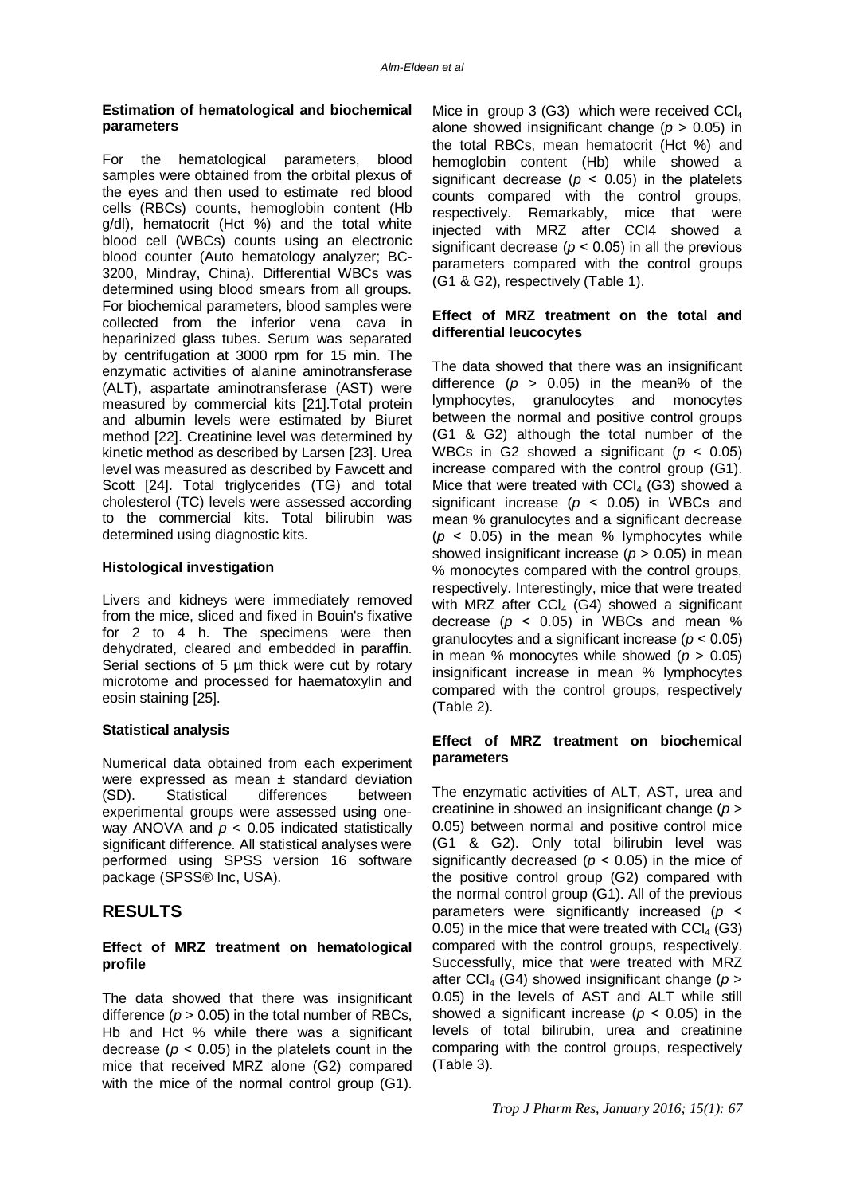#### **Estimation of hematological and biochemical parameters**

For the hematological parameters, blood samples were obtained from the orbital plexus of the eyes and then used to estimate red blood cells (RBCs) counts, hemoglobin content (Hb g/dl), hematocrit (Hct %) and the total white blood cell (WBCs) counts using an electronic blood counter (Auto hematology analyzer; BC-3200, Mindray, China). Differential WBCs was determined using blood smears from all groups. For biochemical parameters, blood samples were collected from the inferior vena cava in heparinized glass tubes. Serum was separated by centrifugation at 3000 rpm for 15 min. The enzymatic activities of alanine aminotransferase (ALT), aspartate aminotransferase (AST) were measured by commercial kits [21].Total protein and albumin levels were estimated by Biuret method [22]. Creatinine level was determined by kinetic method as described by Larsen [23]. Urea level was measured as described by Fawcett and Scott [24]. Total triglycerides (TG) and total cholesterol (TC) levels were assessed according to the commercial kits. Total bilirubin was determined using diagnostic kits.

#### **Histological investigation**

Livers and kidneys were immediately removed from the mice, sliced and fixed in Bouin's fixative for 2 to 4 h. The specimens were then dehydrated, cleared and embedded in paraffin. Serial sections of 5 µm thick were cut by rotary microtome and processed for haematoxylin and eosin staining [25].

## **Statistical analysis**

Numerical data obtained from each experiment were expressed as mean  $\pm$  standard deviation (SD). Statistical differences between experimental groups were assessed using oneway ANOVA and *p* < 0.05 indicated statistically significant difference. All statistical analyses were performed using SPSS version 16 software package (SPSS® Inc, USA).

# **RESULTS**

#### **Effect of MRZ treatment on hematological profile**

The data showed that there was insignificant difference  $(p > 0.05)$  in the total number of RBCs, Hb and Hct % while there was a significant decrease ( $p < 0.05$ ) in the platelets count in the mice that received MRZ alone (G2) compared with the mice of the normal control group (G1).

Mice in group 3 (G3) which were received  $CCl<sub>4</sub>$ alone showed insignificant change (*p* > 0.05) in the total RBCs, mean hematocrit (Hct %) and hemoglobin content (Hb) while showed a significant decrease ( $p < 0.05$ ) in the platelets counts compared with the control groups, respectively. Remarkably, mice that were injected with MRZ after CCl4 showed a significant decrease ( $p < 0.05$ ) in all the previous parameters compared with the control groups (G1 & G2), respectively (Table 1).

#### **Effect of MRZ treatment on the total and differential leucocytes**

The data showed that there was an insignificant difference  $(p > 0.05)$  in the mean% of the lymphocytes, granulocytes and monocytes between the normal and positive control groups (G1 & G2) although the total number of the WBCs in G2 showed a significant  $(p < 0.05)$ increase compared with the control group (G1). Mice that were treated with  $CCI<sub>4</sub>$  (G3) showed a significant increase ( $p < 0.05$ ) in WBCs and mean % granulocytes and a significant decrease  $(p < 0.05)$  in the mean % lymphocytes while showed insignificant increase ( $p > 0.05$ ) in mean % monocytes compared with the control groups, respectively. Interestingly, mice that were treated with MRZ after  $CCI<sub>4</sub>$  (G4) showed a significant decrease  $(p < 0.05)$  in WBCs and mean % granulocytes and a significant increase (*p* ˂ 0.05) in mean % monocytes while showed (*p* > 0.05) insignificant increase in mean % lymphocytes compared with the control groups, respectively (Table 2).

## **Effect of MRZ treatment on biochemical parameters**

The enzymatic activities of ALT, AST, urea and creatinine in showed an insignificant change (*p* > 0.05) between normal and positive control mice (G1 & G2). Only total bilirubin level was significantly decreased ( $p < 0.05$ ) in the mice of the positive control group (G2) compared with the normal control group (G1). All of the previous parameters were significantly increased (*p* ˂ 0.05) in the mice that were treated with  $CCI<sub>4</sub>$  (G3) compared with the control groups, respectively. Successfully, mice that were treated with MRZ after  $CCl<sub>4</sub>$  (G4) showed insignificant change ( $p >$ 0.05) in the levels of AST and ALT while still showed a significant increase ( $p < 0.05$ ) in the levels of total bilirubin, urea and creatinine comparing with the control groups, respectively (Table 3).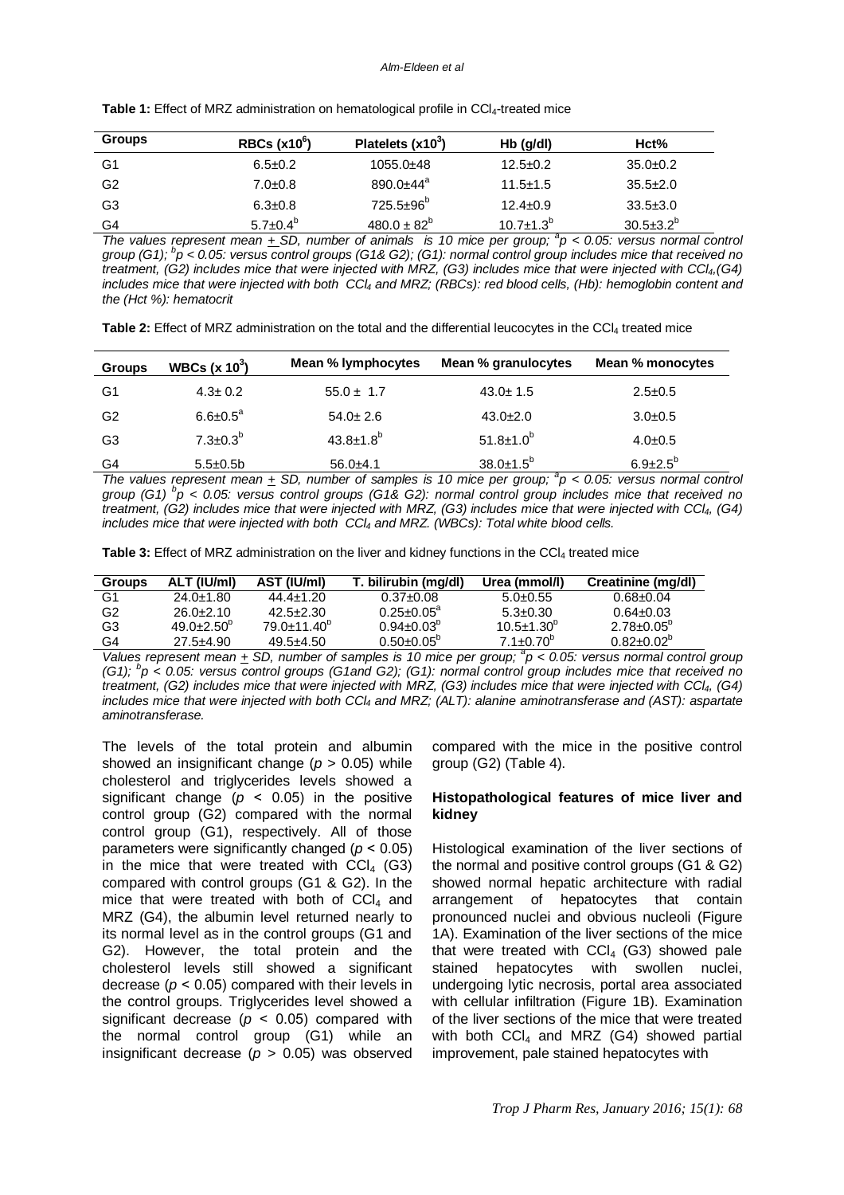| <b>Groups</b>  | $RBCs (x10^6)$  | Platelets $(x10^3)$   | $Hb$ ( $q/dl$ )    | Hct%             |
|----------------|-----------------|-----------------------|--------------------|------------------|
| G1             | $6.5 \pm 0.2$   | $1055.0+48$           | $12.5 \pm 0.2$     | $35.0+0.2$       |
| G <sub>2</sub> | $7.0 \pm 0.8$   | $890.0 + 44^a$        | $11.5 \pm 1.5$     | $35.5 \pm 2.0$   |
| G3             | $6.3 \pm 0.8$   | 725.5±96 <sup>b</sup> | $12.4 \pm 0.9$     | $33.5 \pm 3.0$   |
| G4             | $5.7 \pm 0.4^b$ | $480.0 \pm 82^b$      | $10.7 \pm 1.3^{b}$ | $30.5 \pm 3.2^b$ |

Table 1: Effect of MRZ administration on hematological profile in CCl<sub>4</sub>-treated mice

*The values represent mean*  $\pm$  SD, number of animals is 10 mice per group;  $a$ <sup>2</sup>  $\rho$  < 0.05: versus normal control *group (G1); <sup>b</sup> p < 0.05: versus control groups (G1& G2); (G1): normal control group includes mice that received no treatment, (G2) includes mice that were injected with MRZ, (G3) includes mice that were injected with CCl4,(G4) includes mice that were injected with both CCl<sup>4</sup> and MRZ; (RBCs): red blood cells, (Hb): hemoglobin content and the (Hct %): hematocrit*

**Table 2:** Effect of MRZ administration on the total and the differential leucocytes in the CCl<sup>4</sup> treated mice

| <b>Groups</b>  | WBCs $(x 10^3)$       | Mean % lymphocytes          | Mean % granulocytes    | Mean % monocytes  |
|----------------|-----------------------|-----------------------------|------------------------|-------------------|
| G1             | $4.3 \pm 0.2$         | $55.0 \pm 1.7$              | $43.0 \pm 1.5$         | $2.5 \pm 0.5$     |
| G <sub>2</sub> | $6.6 \pm 0.5^{\circ}$ | $54.0 \pm 2.6$              | $43.0+2.0$             | $3.0 \pm 0.5$     |
| G3             | $7.3 \pm 0.3^b$       | $43.8 \pm 1.8$ <sup>b</sup> | $51.8 \pm 1.0^b$       | $4.0 \pm 0.5$     |
| G4             | $5.5 \pm 0.5$ b       | $56.0+4.1$                  | $38.0 \pm 1.5^b$<br>J, | $6.9{\pm}2.5^{6}$ |

*The values represent mean*  $\pm$  SD, number of samples is 10 mice per group;  ${}^{a}p$  < 0.05: versus normal control *group (G1) <sup>b</sup> p < 0.05: versus control groups (G1& G2): normal control group includes mice that received no treatment, (G2) includes mice that were injected with MRZ, (G3) includes mice that were injected with CCl4, (G4) includes mice that were injected with both CCl<sup>4</sup> and MRZ. (WBCs): Total white blood cells.*

**Table 3:** Effect of MRZ administration on the liver and kidney functions in the CCl<sub>4</sub> treated mice

| <b>Groups</b> | ALT (IU/ml)           | AST (IU/ml)            | T. bilirubin (mg/dl)    | Urea (mmol/l)           | Creatinine (mg/dl)      |
|---------------|-----------------------|------------------------|-------------------------|-------------------------|-------------------------|
| G1            | $24.0 \pm 1.80$       | $44.4 + 1.20$          | $0.37 \pm 0.08$         | $5.0 + 0.55$            | $0.68 \pm 0.04$         |
| G2            | $26.0 + 2.10$         | $42.5 + 2.30$          | $0.25 + 0.05^a$         | $5.3 + 0.30$            | $0.64 \pm 0.03$         |
| G3            | $49.0 + 2.50^{\circ}$ | $79.0 + 11.40^{\circ}$ | $0.94 \pm 0.03^{\circ}$ | $10.5 \pm 1.30^{\circ}$ | $2.78 \pm 0.05^{\circ}$ |
| G4            | $27.5 + 4.90$         | $49.5 + 4.50$          | $0.50+0.05^{\circ}$     | $7.1 \pm 0.70^{\circ}$  | $0.82 \pm 0.02^{\circ}$ |

*Values represent mean*  $\pm$  SD, number of samples is 10 mice per group;  $^a$ p < 0.05: versus normal control group *(G1); <sup>b</sup> p < 0.05: versus control groups (G1and G2); (G1): normal control group includes mice that received no treatment, (G2) includes mice that were injected with MRZ, (G3) includes mice that were injected with CCl4, (G4) includes mice that were injected with both CCl<sup>4</sup> and MRZ; (ALT): alanine aminotransferase and (AST): aspartate aminotransferase.*

The levels of the total protein and albumin showed an insignificant change (*p* > 0.05) while cholesterol and triglycerides levels showed a significant change ( $p \le 0.05$ ) in the positive control group (G2) compared with the normal control group (G1), respectively. All of those parameters were significantly changed (*p* ˂ 0.05) in the mice that were treated with  $CCl<sub>4</sub>$  (G3) compared with control groups (G1 & G2). In the mice that were treated with both of  $CCI<sub>4</sub>$  and MRZ (G4), the albumin level returned nearly to its normal level as in the control groups (G1 and G2). However, the total protein and the cholesterol levels still showed a significant decrease ( $p < 0.05$ ) compared with their levels in the control groups. Triglycerides level showed a significant decrease ( $p < 0.05$ ) compared with the normal control group (G1) while an insignificant decrease (*p* > 0.05) was observed

compared with the mice in the positive control group (G2) (Table 4).

#### **Histopathological features of mice liver and kidney**

Histological examination of the liver sections of the normal and positive control groups (G1 & G2) showed normal hepatic architecture with radial arrangement of hepatocytes that contain pronounced nuclei and obvious nucleoli (Figure 1A). Examination of the liver sections of the mice that were treated with  $CCI<sub>4</sub>$  (G3) showed pale stained hepatocytes with swollen nuclei, undergoing lytic necrosis, portal area associated with cellular infiltration (Figure 1B). Examination of the liver sections of the mice that were treated with both  $CCl<sub>4</sub>$  and MRZ (G4) showed partial improvement, pale stained hepatocytes with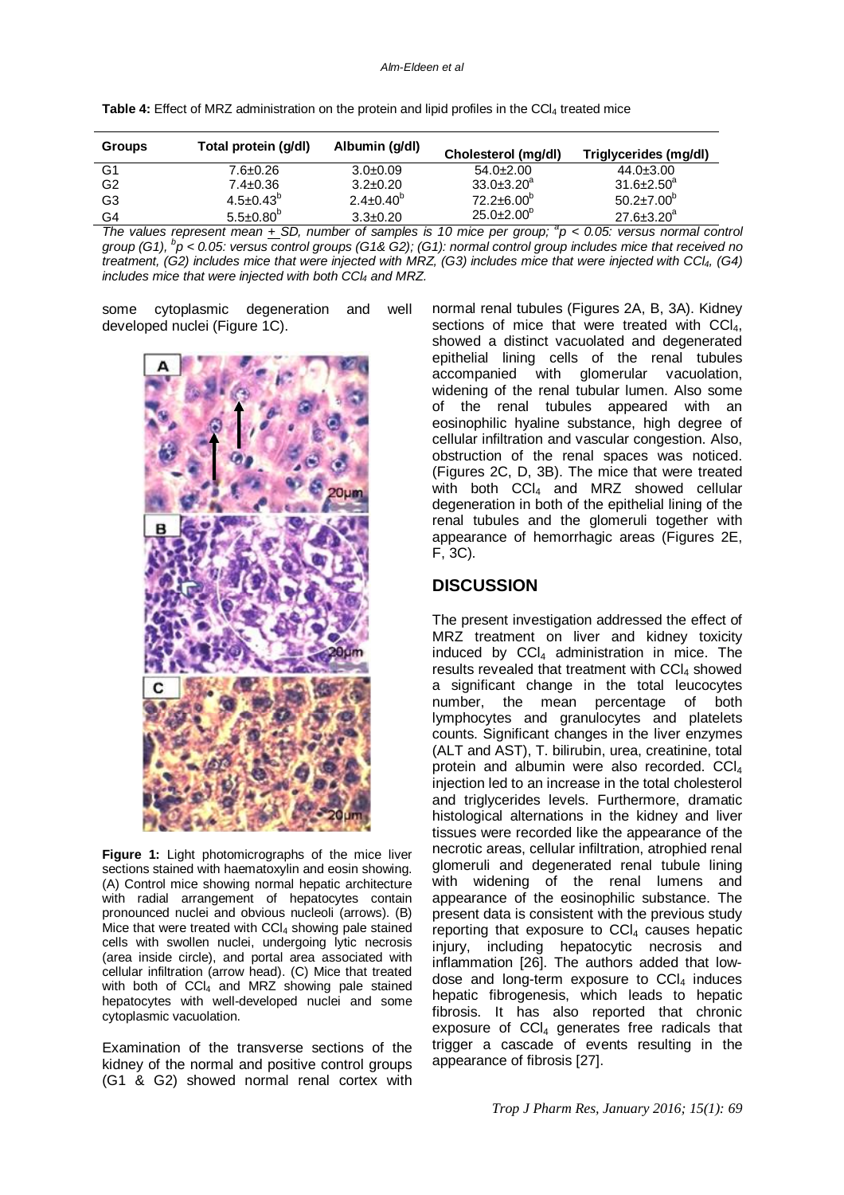| <b>Groups</b>  | Total protein (g/dl)   | Albumin (g/dl)         | Cholesterol (mg/dl)     | Triglycerides (mg/dl)   |
|----------------|------------------------|------------------------|-------------------------|-------------------------|
| G <sub>1</sub> | 7.6±0.26               | $3.0\pm0.09$           | $54.0+2.00$             | $44.0 \pm 3.00$         |
| G <sub>2</sub> | $7.4 \pm 0.36$         | $3.2 \pm 0.20$         | $33.0 \pm 3.20^a$       | $31.6 \pm 2.50^a$       |
| G3             | $4.5 \pm 0.43^{\circ}$ | $2.4 \pm 0.40^{\circ}$ | $72.2 \pm 6.00^{\circ}$ | $50.2 \pm 7.00^{\circ}$ |
| G4             | $5.5 \pm 0.80^{\circ}$ | $3.3 \pm 0.20$         | $25.0 \pm 2.00^{\circ}$ | $27.6 \pm 3.20^a$       |

*The values represent mean*  $\pm$  SD, number of samples is 10 mice per group;  ${}^{a}p$  < 0.05: versus normal control *group (G1), <sup>b</sup> p < 0.05: versus control groups (G1& G2); (G1): normal control group includes mice that received no treatment, (G2) includes mice that were injected with MRZ, (G3) includes mice that were injected with CCl4, (G4) includes mice that were injected with both CCl<sup>4</sup> and MRZ.*

some cytoplasmic degeneration and well developed nuclei (Figure 1C).



**Figure 1:** Light photomicrographs of the mice liver sections stained with haematoxylin and eosin showing. (A) Control mice showing normal hepatic architecture with radial arrangement of hepatocytes contain pronounced nuclei and obvious nucleoli (arrows). (B) Mice that were treated with  $CCl<sub>4</sub>$  showing pale stained cells with swollen nuclei, undergoing lytic necrosis (area inside circle), and portal area associated with cellular infiltration (arrow head). (C) Mice that treated with both of  $CCI<sub>4</sub>$  and MRZ showing pale stained hepatocytes with well-developed nuclei and some cytoplasmic vacuolation.

Examination of the transverse sections of the kidney of the normal and positive control groups (G1 & G2) showed normal renal cortex with

normal renal tubules (Figures 2A, B, 3A). Kidney sections of mice that were treated with  $\text{CCI}_4$ , showed a distinct vacuolated and degenerated epithelial lining cells of the renal tubules accompanied with glomerular vacuolation, widening of the renal tubular lumen. Also some of the renal tubules appeared with an eosinophilic hyaline substance, high degree of cellular infiltration and vascular congestion. Also, obstruction of the renal spaces was noticed. (Figures 2C, D, 3B). The mice that were treated with both  $CCI<sub>4</sub>$  and MRZ showed cellular degeneration in both of the epithelial lining of the renal tubules and the glomeruli together with appearance of hemorrhagic areas (Figures 2E, F, 3C).

## **DISCUSSION**

The present investigation addressed the effect of MRZ treatment on liver and kidney toxicity induced by  $CCI<sub>4</sub>$  administration in mice. The results revealed that treatment with  $CCL<sub>4</sub>$  showed a significant change in the total leucocytes number, the mean percentage of both lymphocytes and granulocytes and platelets counts. Significant changes in the liver enzymes (ALT and AST), T. bilirubin, urea, creatinine, total protein and albumin were also recorded. CCl<sub>4</sub> injection led to an increase in the total cholesterol and triglycerides levels. Furthermore, dramatic histological alternations in the kidney and liver tissues were recorded like the appearance of the necrotic areas, cellular infiltration, atrophied renal glomeruli and degenerated renal tubule lining with widening of the renal lumens and appearance of the eosinophilic substance. The present data is consistent with the previous study reporting that exposure to  $CCI<sub>4</sub>$  causes hepatic injury, including hepatocytic necrosis and inflammation [26]. The authors added that lowdose and long-term exposure to  $CCI<sub>4</sub>$  induces hepatic fibrogenesis, which leads to hepatic fibrosis. It has also reported that chronic exposure of  $CCI<sub>4</sub>$  generates free radicals that trigger a cascade of events resulting in the appearance of fibrosis [27].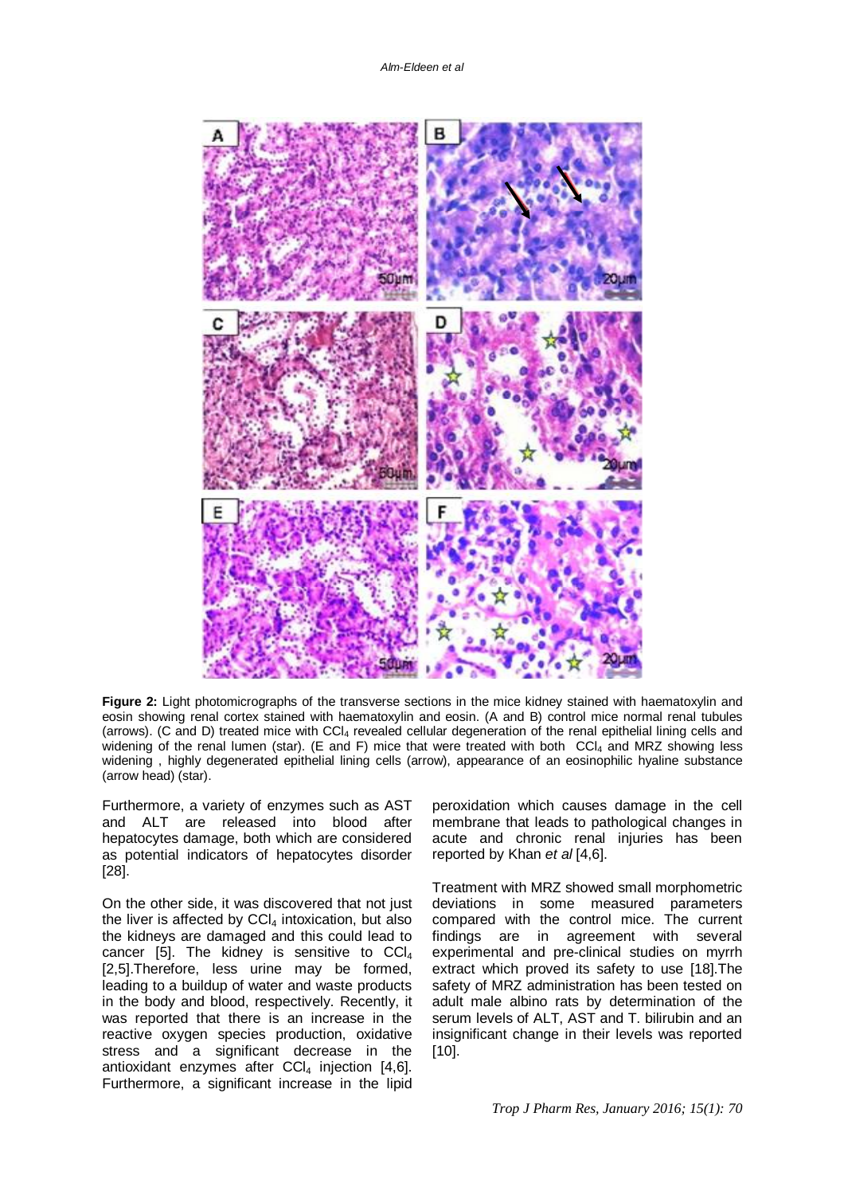

**Figure 2:** Light photomicrographs of the transverse sections in the mice kidney stained with haematoxylin and eosin showing renal cortex stained with haematoxylin and eosin. (A and B) control mice normal renal tubules (arrows). (C and D) treated mice with CCl<sup>4</sup> revealed cellular degeneration of the renal epithelial lining cells and widening of the renal lumen (star). (E and F) mice that were treated with both CCl<sub>4</sub> and MRZ showing less widening , highly degenerated epithelial lining cells (arrow), appearance of an eosinophilic hyaline substance (arrow head) (star).

Furthermore, a variety of enzymes such as AST and ALT are released into blood after hepatocytes damage, both which are considered as potential indicators of hepatocytes disorder [28].

On the other side, it was discovered that not just the liver is affected by  $CCl<sub>4</sub>$  intoxication, but also the kidneys are damaged and this could lead to cancer [5]. The kidney is sensitive to  $|CO|_4$ [2,5].Therefore, less urine may be formed, leading to a buildup of water and waste products in the body and blood, respectively. Recently, it was reported that there is an increase in the reactive oxygen species production, oxidative stress and a significant decrease in the antioxidant enzymes after  $CCI<sub>4</sub>$  injection [4,6]. Furthermore, a significant increase in the lipid

peroxidation which causes damage in the cell membrane that leads to pathological changes in acute and chronic renal injuries has been reported by Khan *et al* [4,6].

Treatment with MRZ showed small morphometric deviations in some measured parameters compared with the control mice. The current findings are in agreement with several experimental and pre-clinical studies on myrrh extract which proved its safety to use [18].The safety of MRZ administration has been tested on adult male albino rats by determination of the serum levels of ALT, AST and T. bilirubin and an insignificant change in their levels was reported [10].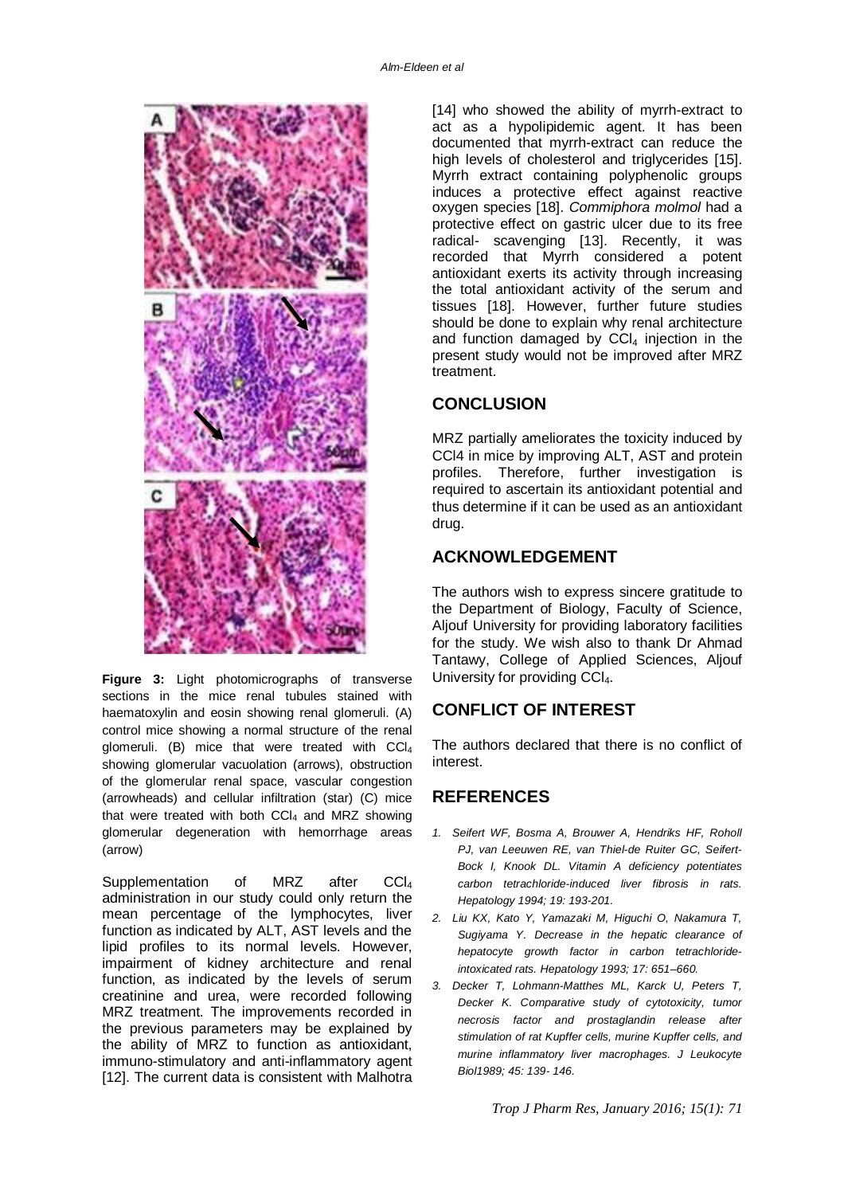

**Figure 3:** Light photomicrographs of transverse sections in the mice renal tubules stained with haematoxylin and eosin showing renal glomeruli. (A) control mice showing a normal structure of the renal glomeruli. (B) mice that were treated with CCl<sup>4</sup> showing glomerular vacuolation (arrows), obstruction of the glomerular renal space, vascular congestion (arrowheads) and cellular infiltration (star) (C) mice that were treated with both  $CCI<sub>4</sub>$  and MRZ showing glomerular degeneration with hemorrhage areas (arrow)

Supplementation of MRZ after CCL administration in our study could only return the mean percentage of the lymphocytes, liver function as indicated by ALT, AST levels and the lipid profiles to its normal levels. However, impairment of kidney architecture and renal function, as indicated by the levels of serum creatinine and urea, were recorded following MRZ treatment. The improvements recorded in the previous parameters may be explained by the ability of MRZ to function as antioxidant, immuno-stimulatory and anti-inflammatory agent [12]. The current data is consistent with Malhotra [14] who showed the ability of myrrh-extract to act as a hypolipidemic agent. It has been documented that myrrh-extract can reduce the high levels of cholesterol and triglycerides [15]. Myrrh extract containing polyphenolic groups induces a protective effect against reactive oxygen species [18]. *Commiphora molmol* had a protective effect on gastric ulcer due to its free radical- scavenging [13]. Recently, it was recorded that Myrrh considered a potent antioxidant exerts its activity through increasing the total antioxidant activity of the serum and tissues [18]. However, further future studies should be done to explain why renal architecture and function damaged by  $CCl<sub>4</sub>$  injection in the present study would not be improved after MRZ treatment.

## **CONCLUSION**

MRZ partially ameliorates the toxicity induced by CCl4 in mice by improving ALT, AST and protein profiles. Therefore, further investigation is required to ascertain its antioxidant potential and thus determine if it can be used as an antioxidant drug.

# **ACKNOWLEDGEMENT**

The authors wish to express sincere gratitude to the Department of Biology, Faculty of Science, Aljouf University for providing laboratory facilities for the study. We wish also to thank Dr Ahmad Tantawy, College of Applied Sciences, Aljouf University for providing CCL.

# **CONFLICT OF INTEREST**

The authors declared that there is no conflict of interest.

## **REFERENCES**

- *1. Seifert WF, Bosma A, Brouwer A, Hendriks HF, Roholl PJ, van Leeuwen RE, van Thiel-de Ruiter GC, Seifert-Bock I, Knook DL. Vitamin A deficiency potentiates carbon tetrachloride-induced liver fibrosis in rats. Hepatology 1994; 19: 193-201.*
- *2. Liu KX, Kato Y, Yamazaki M, Higuchi O, Nakamura T, Sugiyama Y. Decrease in the hepatic clearance of hepatocyte growth factor in carbon tetrachlorideintoxicated rats. Hepatology 1993; 17: 651–660.*
- *3. Decker T, Lohmann-Matthes ML, Karck U, Peters T, Decker K. Comparative study of cytotoxicity, tumor necrosis factor and prostaglandin release after stimulation of rat Kupffer cells, murine Kupffer cells, and murine inflammatory liver macrophages. J Leukocyte Biol1989; 45: 139- 146.*